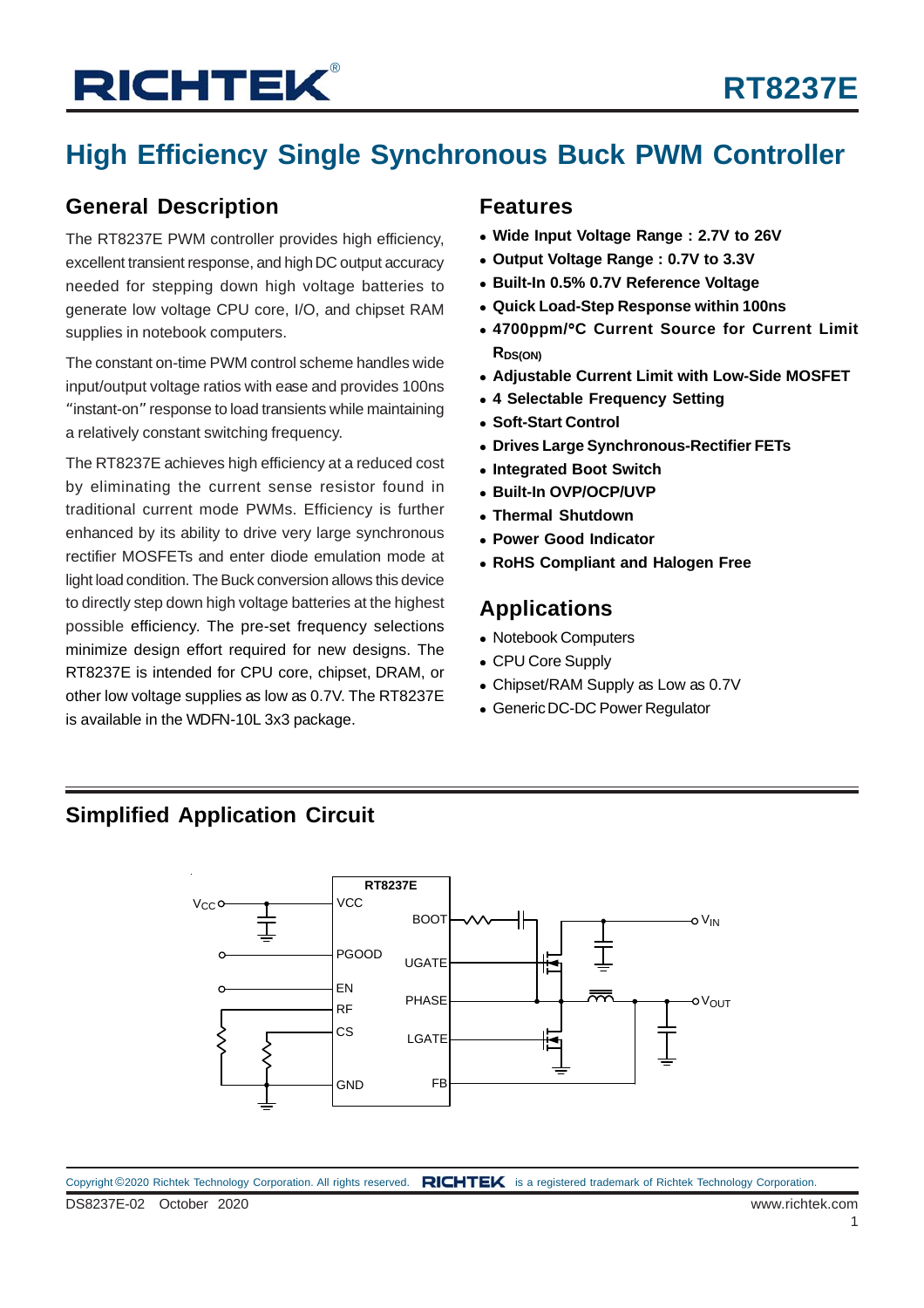## **High Efficiency Single Synchronous Buck PWM Controller**

### **General Description**

The RT8237E PWM controller provides high efficiency, excellent transient response, and high DC output accuracy needed for stepping down high voltage batteries to generate low voltage CPU core, I/O, and chipset RAM supplies in notebook computers.

The constant on-time PWM control scheme handles wide input/output voltage ratios with ease and provides 100ns "instant-on" response to load transients while maintaining a relatively constant switching frequency.

The RT8237E achieves high efficiency at a reduced cost by eliminating the current sense resistor found in traditional current mode PWMs. Efficiency is further enhanced by its ability to drive very large synchronous rectifier MOSFETs and enter diode emulation mode at light load condition. The Buck conversion allows this device to directly step down high voltage batteries at the highest possible efficiency. The pre-set frequency selections minimize design effort required for new designs. The RT8237E is intended for CPU core, chipset, DRAM, or other low voltage supplies as low as 0.7V. The RT8237E is available in the WDFN-10L 3x3 package.

#### **Features**

- **Wide Input Voltage Range : 2.7V to 26V**
- **Output Voltage Range : 0.7V to 3.3V**
- **Built-In 0.5% 0.7V Reference Voltage**
- **Quick Load-Step Response within 100ns**
- **4700ppm/**°**C Current Source for Current Limit RDS(ON)**
- **Adjustable Current Limit with Low-Side MOSFET**
- **4 Selectable Frequency Setting**
- **Soft-Start Control**
- **Drives Large Synchronous-Rectifier FETs**
- **Integrated Boot Switch**
- **Built-In OVP/OCP/UVP**
- **Thermal Shutdown**
- **Power Good Indicator**
- **RoHS Compliant and Halogen Free**

### **Applications**

- Notebook Computers
- CPU Core Supply
- Chipset/RAM Supply as Low as 0.7V
- Generic DC-DC Power Regulator

### **Simplified Application Circuit**

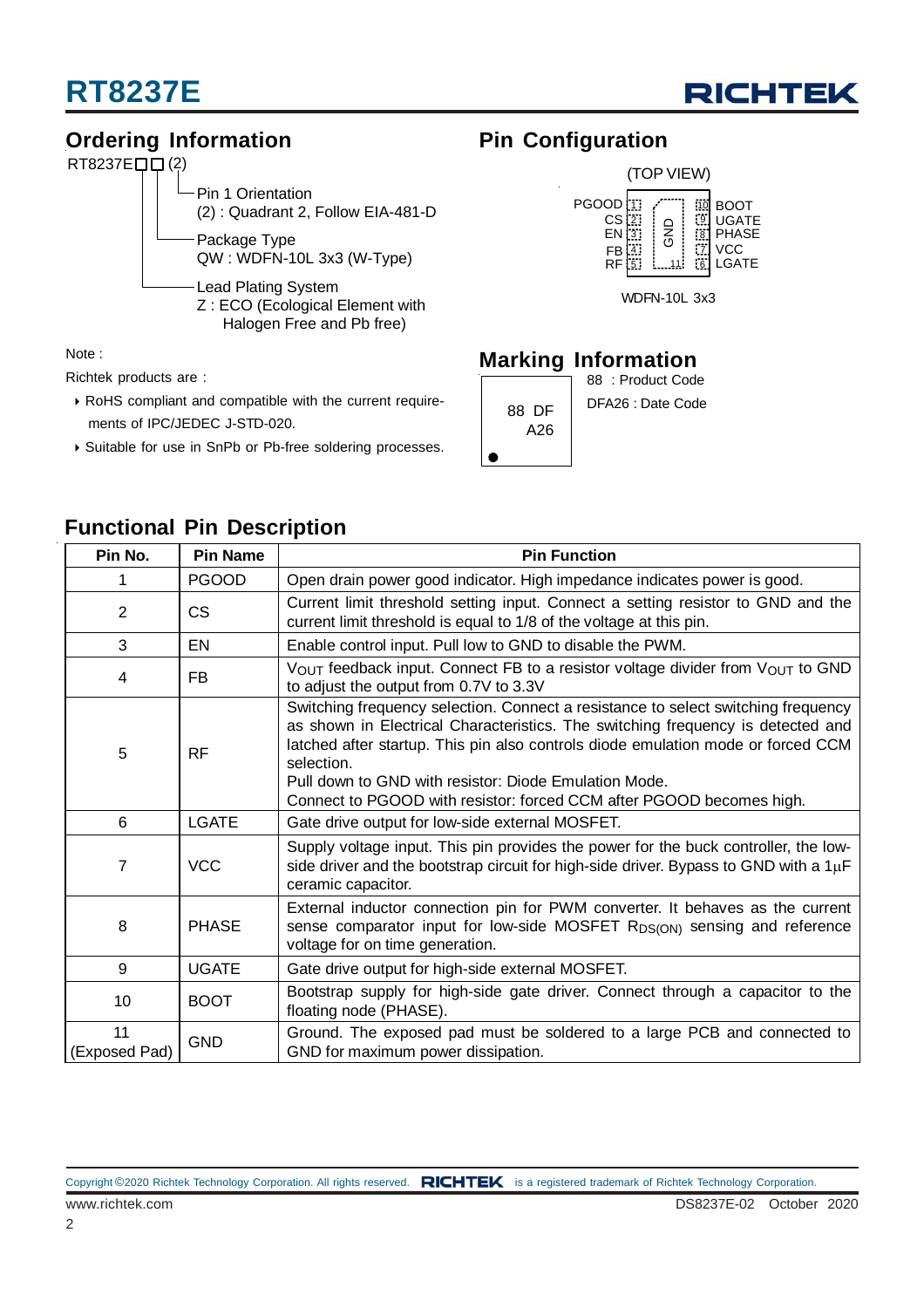



## **Ordering Information**



Note :

Richtek products are :

- RoHS compliant and compatible with the current require ments of IPC/JEDEC J-STD-020.
- Suitable for use in SnPb or Pb-free soldering processes.

### **Pin Configuration**



### **Marking Information**

|              | 88 : Product Code |
|--------------|-------------------|
| 88 DF<br>A26 | DFA26 : Date Code |
|              |                   |

## **Functional Pin Description**

| Pin No.<br><b>Pin Name</b> |              | <b>Pin Function</b>                                                                                                                                                                                                                                                                                                                                                                                     |  |  |  |
|----------------------------|--------------|---------------------------------------------------------------------------------------------------------------------------------------------------------------------------------------------------------------------------------------------------------------------------------------------------------------------------------------------------------------------------------------------------------|--|--|--|
|                            | <b>PGOOD</b> | Open drain power good indicator. High impedance indicates power is good.                                                                                                                                                                                                                                                                                                                                |  |  |  |
| $\overline{2}$             | <b>CS</b>    | Current limit threshold setting input. Connect a setting resistor to GND and the<br>current limit threshold is equal to 1/8 of the voltage at this pin.                                                                                                                                                                                                                                                 |  |  |  |
| 3                          | EN           | Enable control input. Pull low to GND to disable the PWM.                                                                                                                                                                                                                                                                                                                                               |  |  |  |
| 4                          | FB.          | VOUT feedback input. Connect FB to a resistor voltage divider from VOUT to GND<br>to adjust the output from 0.7V to 3.3V                                                                                                                                                                                                                                                                                |  |  |  |
| 5                          | <b>RF</b>    | Switching frequency selection. Connect a resistance to select switching frequency<br>as shown in Electrical Characteristics. The switching frequency is detected and<br>latched after startup. This pin also controls diode emulation mode or forced CCM<br>selection.<br>Pull down to GND with resistor: Diode Emulation Mode.<br>Connect to PGOOD with resistor: forced CCM after PGOOD becomes high. |  |  |  |
| <b>LGATE</b><br>6          |              | Gate drive output for low-side external MOSFET.                                                                                                                                                                                                                                                                                                                                                         |  |  |  |
| 7                          | <b>VCC</b>   | Supply voltage input. This pin provides the power for the buck controller, the low-<br>side driver and the bootstrap circuit for high-side driver. Bypass to GND with a $1\mu$ F<br>ceramic capacitor.                                                                                                                                                                                                  |  |  |  |
| 8                          | <b>PHASE</b> | External inductor connection pin for PWM converter. It behaves as the current<br>sense comparator input for low-side MOSFET RDS(ON) sensing and reference<br>voltage for on time generation.                                                                                                                                                                                                            |  |  |  |
| 9                          | <b>UGATE</b> | Gate drive output for high-side external MOSFET.                                                                                                                                                                                                                                                                                                                                                        |  |  |  |
| 10                         | <b>BOOT</b>  | Bootstrap supply for high-side gate driver. Connect through a capacitor to the<br>floating node (PHASE).                                                                                                                                                                                                                                                                                                |  |  |  |
| 11<br>(Exposed Pad)        | <b>GND</b>   | Ground. The exposed pad must be soldered to a large PCB and connected to<br>GND for maximum power dissipation.                                                                                                                                                                                                                                                                                          |  |  |  |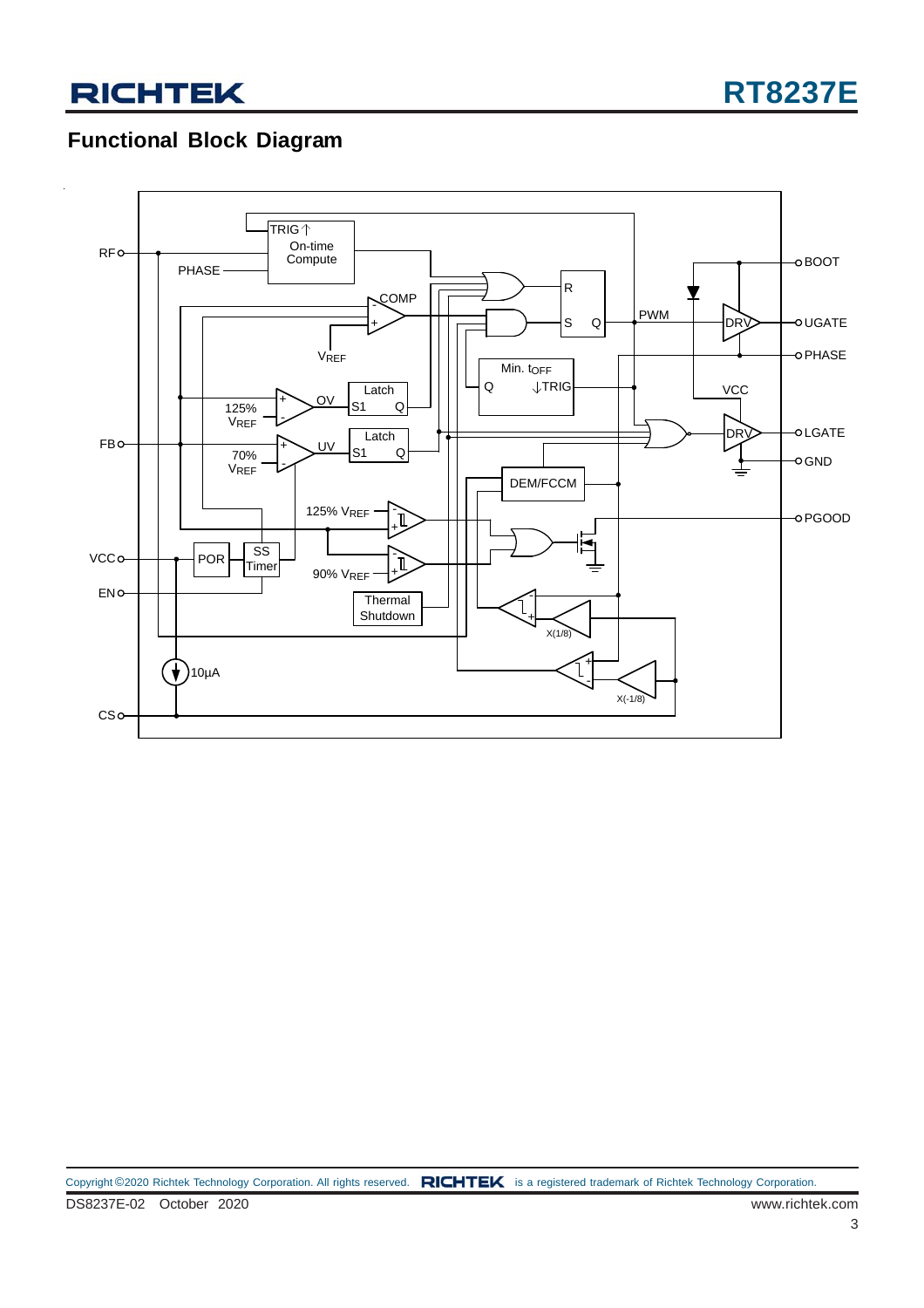### **Functional Block Diagram**

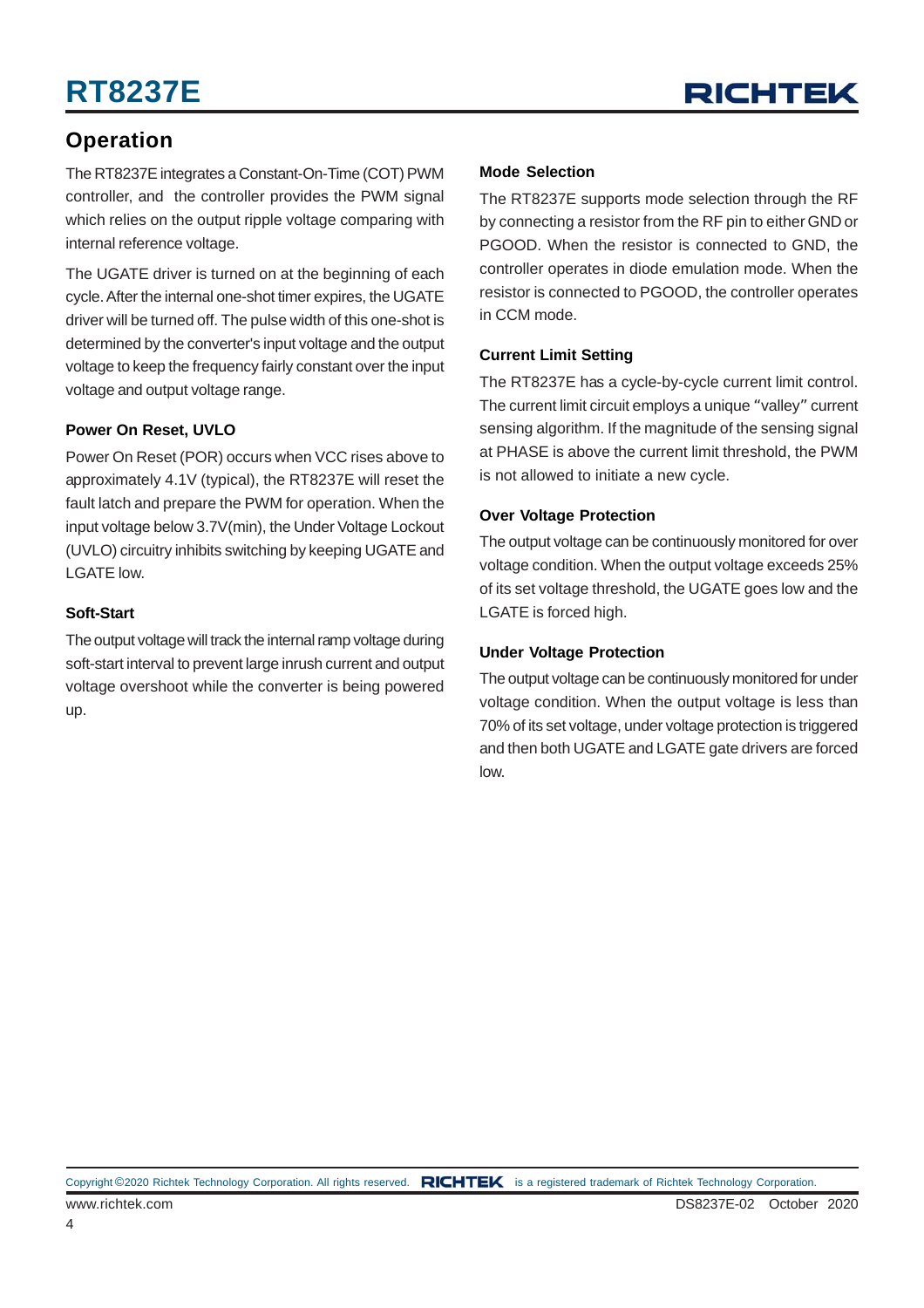## **RT8237E**



### **Operation**

The RT8237E integrates a Constant-On-Time (COT) PWM controller, and the controller provides the PWM signal which relies on the output ripple voltage comparing with internal reference voltage.

The UGATE driver is turned on at the beginning of each cycle. After the internal one-shot timer expires, the UGATE driver will be turned off. The pulse width of this one-shot is determined by the converter's input voltage and the output voltage to keep the frequency fairly constant over the input voltage and output voltage range.

#### **Power On Reset, UVLO**

Power On Reset (POR) occurs when VCC rises above to approximately 4.1V (typical), the RT8237E will reset the fault latch and prepare the PWM for operation. When the input voltage below 3.7V(min), the Under Voltage Lockout (UVLO) circuitry inhibits switching by keeping UGATE and LGATE low.

#### **Soft-Start**

The output voltage will track the internal ramp voltage during soft-start interval to prevent large inrush current and output voltage overshoot while the converter is being powered up.

#### **Mode Selection**

The RT8237E supports mode selection through the RF by connecting a resistor from the RF pin to either GND or PGOOD. When the resistor is connected to GND, the controller operates in diode emulation mode. When the resistor is connected to PGOOD, the controller operates in CCM mode.

#### **Current Limit Setting**

The RT8237E has a cycle-by-cycle current limit control. The current limit circuit employs a unique "valley" current sensing algorithm. If the magnitude of the sensing signal at PHASE is above the current limit threshold, the PWM is not allowed to initiate a new cycle.

#### **Over Voltage Protection**

The output voltage can be continuously monitored for over voltage condition. When the output voltage exceeds 25% of its set voltage threshold, the UGATE goes low and the LGATE is forced high.

#### **Under Voltage Protection**

The output voltage can be continuously monitored for under voltage condition. When the output voltage is less than 70% of its set voltage, under voltage protection is triggered and then both UGATE and LGATE gate drivers are forced low.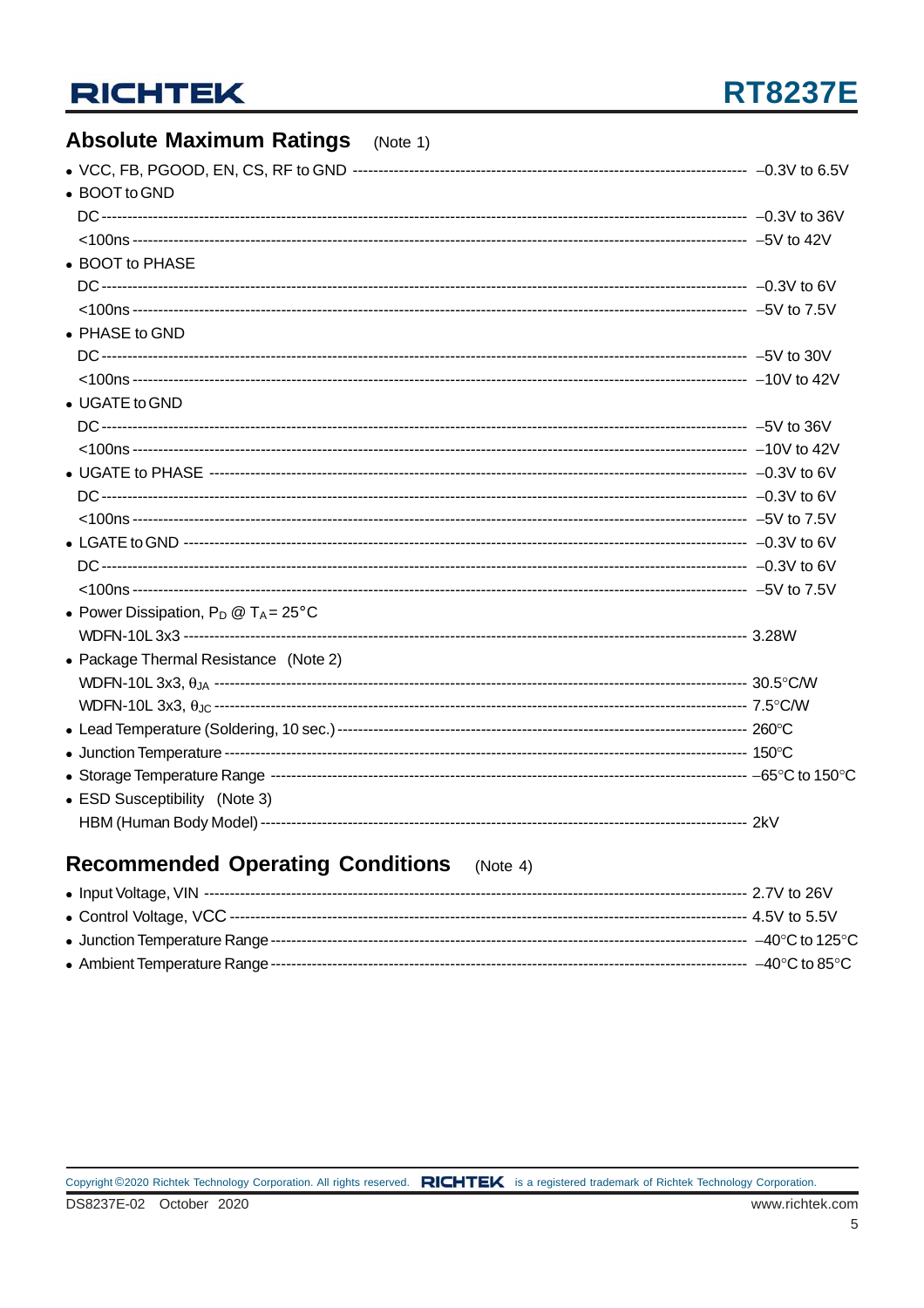## **RT8237E**

#### **Absolute Maximum Ratings**  $(Note 1)$ • BOOT to GND • BOOT to PHASE • PHASE to GND • UGATE to GND • Power Dissipation,  $P_D @ T_A = 25^{\circ}C$ • Package Thermal Resistance (Note 2) • ESD Susceptibility (Note 3)

### **Recommended Operating Conditions** (Note 4)

| --------   4.5V to 5.5V             |
|-------------------------------------|
| $-40^{\circ}$ C to 125 $^{\circ}$ C |
| $-40^{\circ}$ C to 85 $^{\circ}$ C  |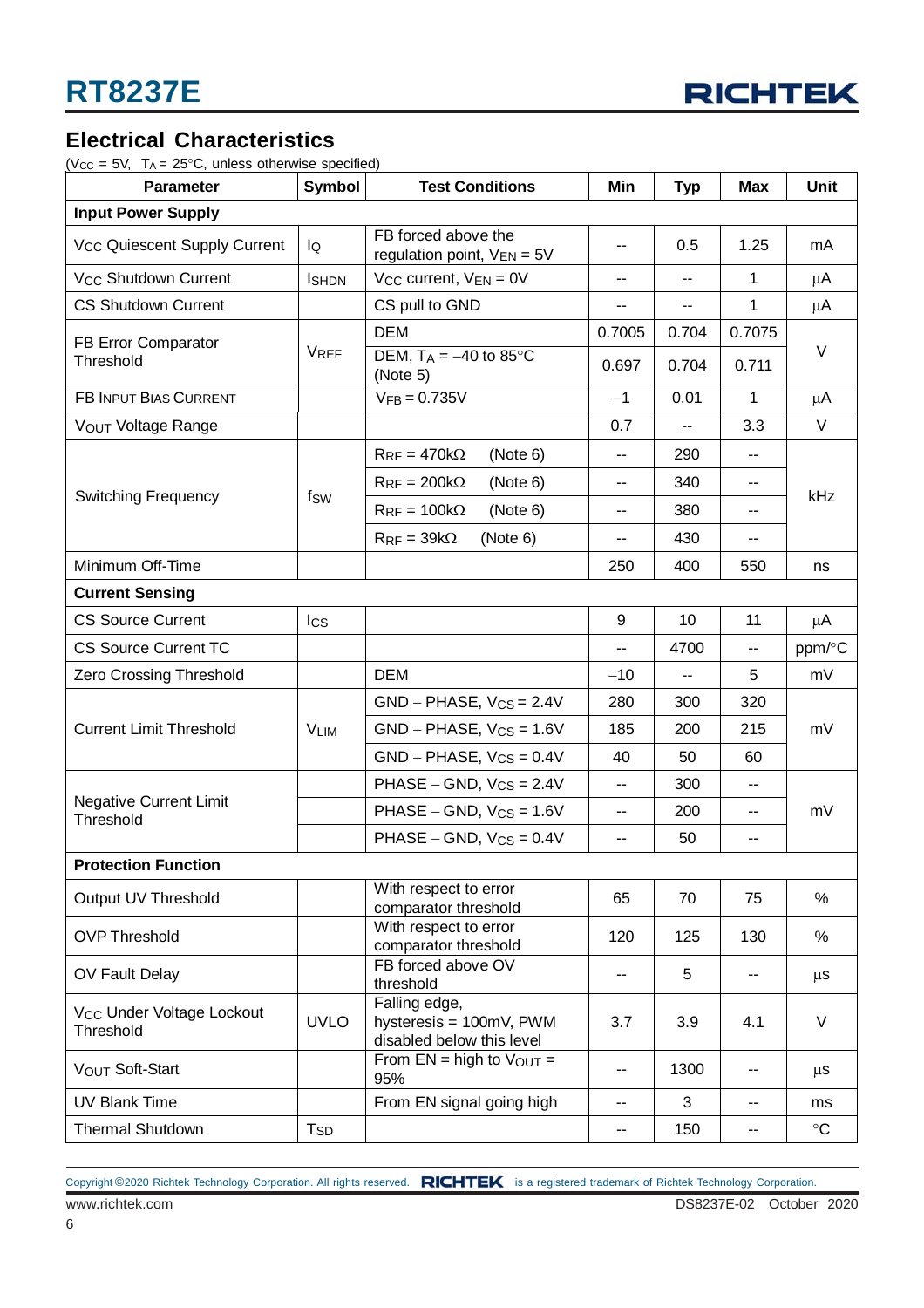

### **Electrical Characteristics**

( $V_{CC}$  = 5V,  $T_A$  = 25°C, unless otherwise specified)

| <b>Parameter</b>                                   | Symbol                 | <b>Test Conditions</b>                                                | Min                      | <b>Typ</b>               | <b>Max</b>                  | Unit      |  |
|----------------------------------------------------|------------------------|-----------------------------------------------------------------------|--------------------------|--------------------------|-----------------------------|-----------|--|
| <b>Input Power Supply</b>                          |                        |                                                                       |                          |                          |                             |           |  |
| V <sub>CC</sub> Quiescent Supply Current           | lQ                     | FB forced above the<br>regulation point, $V_{EN} = 5V$                | $\overline{\phantom{m}}$ | 0.5                      | 1.25                        | mA        |  |
| V <sub>CC</sub> Shutdown Current                   | <b>I</b> SHDN          | $V_{CC}$ current, $V_{EN} = 0V$                                       | --                       | $\overline{a}$           | $\mathbf 1$                 | $\mu$ A   |  |
| <b>CS Shutdown Current</b>                         |                        | CS pull to GND                                                        | --                       | $\overline{\phantom{a}}$ | $\mathbf{1}$                | μA        |  |
| FB Error Comparator                                | <b>VREF</b>            | <b>DEM</b>                                                            | 0.7005                   | 0.704                    | 0.7075                      | V         |  |
| Threshold                                          |                        | DEM, $T_A = -40$ to 85°C<br>(Note 5)                                  | 0.697                    | 0.704                    | 0.711                       |           |  |
| <b>FB INPUT BIAS CURRENT</b>                       |                        | $V_{FB} = 0.735V$                                                     | $-1$                     | 0.01                     | $\mathbf{1}$                | μA        |  |
| VOUT Voltage Range                                 |                        |                                                                       | 0.7                      | --                       | 3.3                         | V         |  |
|                                                    |                        | $R_{RF} = 470k\Omega$<br>(Note 6)                                     | $\overline{\phantom{a}}$ | 290                      | $\sim$                      |           |  |
|                                                    |                        | $R_{RF} = 200k\Omega$<br>(Note 6)                                     | --                       | 340                      | $\sim$                      |           |  |
| <b>Switching Frequency</b>                         | fsw                    | $R_{RF} = 100k\Omega$<br>(Note 6)                                     | --                       | 380                      | $\sim$                      | kHz       |  |
|                                                    |                        | (Note 6)<br>$R_{RF} = 39k\Omega$                                      | $\overline{\phantom{a}}$ | 430                      | $\mathcal{L}_{\mathcal{F}}$ |           |  |
| Minimum Off-Time                                   |                        |                                                                       | 250                      | 400                      | 550                         | ns        |  |
| <b>Current Sensing</b>                             |                        |                                                                       |                          |                          |                             |           |  |
| <b>CS Source Current</b>                           | $_{\text{lcs}}$        |                                                                       | 9                        | 10                       | 11                          | μA        |  |
| <b>CS Source Current TC</b>                        |                        |                                                                       | --                       | 4700                     | $\sim$ $\sim$               | ppm/°C    |  |
| Zero Crossing Threshold                            |                        | <b>DEM</b>                                                            | $-10$                    | ۰.                       | 5                           | mV        |  |
|                                                    | <b>VLIM</b>            | $GND - PHASE, V_{CS} = 2.4V$                                          | 280                      | 300                      | 320                         | mV        |  |
| <b>Current Limit Threshold</b>                     |                        | $GND - PHASE, V_{CS} = 1.6V$                                          | 185                      | 200                      | 215                         |           |  |
|                                                    |                        | $GND - PHASE, V_{CS} = 0.4V$                                          | 40                       | 50                       | 60                          |           |  |
|                                                    |                        | PHASE – GND, $V_{CS} = 2.4V$                                          | н.                       | 300                      | н.                          |           |  |
| <b>Negative Current Limit</b><br>Threshold         |                        | PHASE – GND, $V_{CS} = 1.6V$                                          | --                       | 200                      | н.                          | mV        |  |
|                                                    |                        | PHASE – GND, $V_{CS} = 0.4V$                                          | --                       | 50                       | --                          |           |  |
| <b>Protection Function</b>                         |                        |                                                                       |                          |                          |                             |           |  |
| Output UV Threshold                                |                        | With respect to error<br>comparator threshold                         | 65                       | 70                       | 75                          | %         |  |
| <b>OVP Threshold</b>                               |                        | With respect to error<br>comparator threshold                         | 120                      | 125                      | 130                         | $\%$      |  |
| OV Fault Delay                                     |                        | FB forced above OV<br>threshold                                       | --                       | 5                        |                             | $\mu$ s   |  |
| V <sub>CC</sub> Under Voltage Lockout<br>Threshold | <b>UVLO</b>            | Falling edge,<br>hysteresis = 100mV, PWM<br>disabled below this level | 3.7                      | 3.9                      | 4.1                         | V         |  |
| VOUT Soft-Start                                    |                        | From $EN = high to VOUT =$<br>95%                                     | --                       | 1300                     | $\overline{\phantom{a}}$    | $\mu$ S   |  |
| <b>UV Blank Time</b>                               |                        | From EN signal going high                                             | --                       | 3                        | н.                          | ms        |  |
| <b>Thermal Shutdown</b>                            | <b>T</b> <sub>SD</sub> |                                                                       | --                       | 150                      | н.                          | $\circ$ C |  |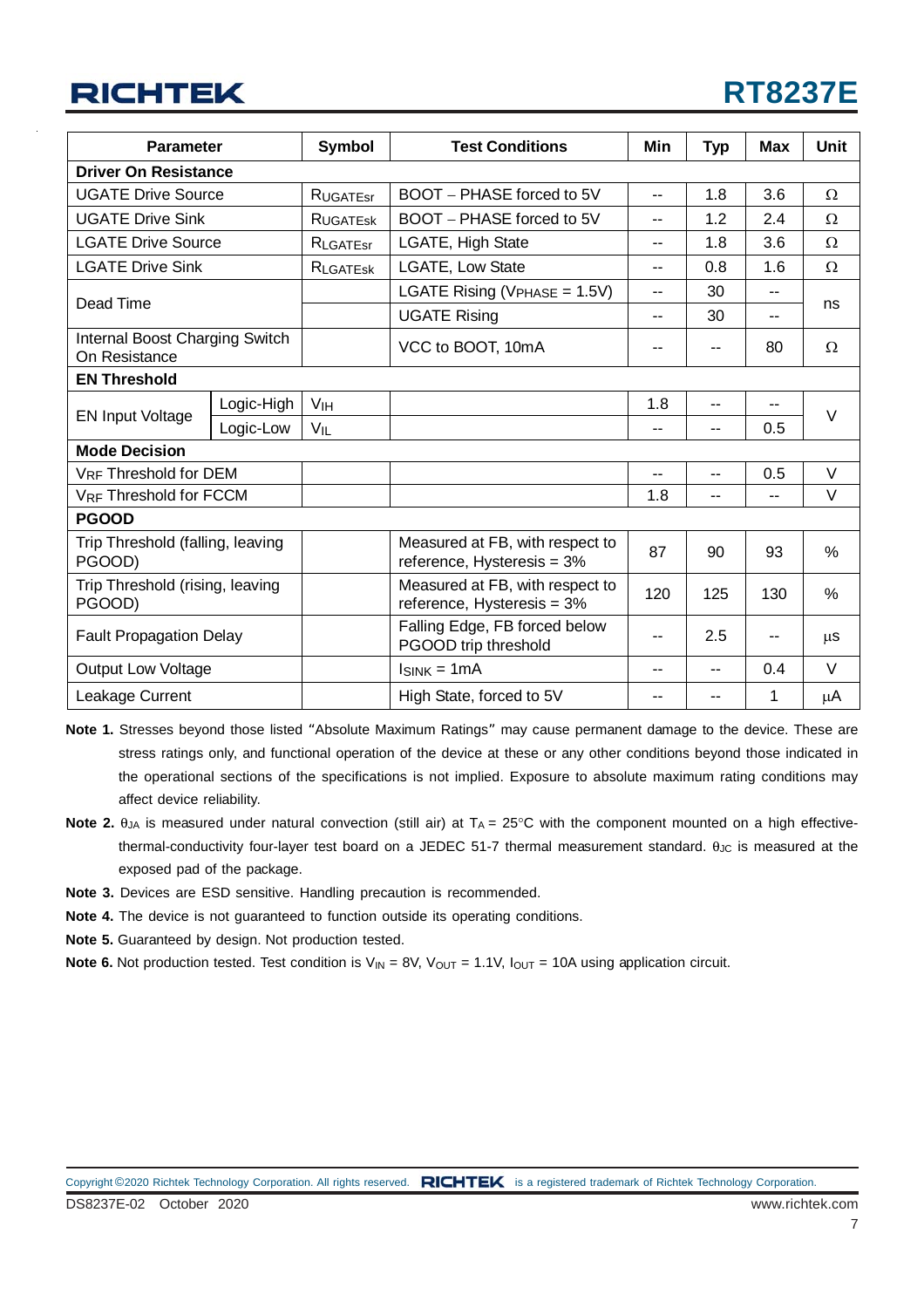| <b>Parameter</b>                                |            | <b>Symbol</b>   | <b>Test Conditions</b>                                               | Min                                   | <b>Typ</b> | <b>Max</b> | Unit     |  |
|-------------------------------------------------|------------|-----------------|----------------------------------------------------------------------|---------------------------------------|------------|------------|----------|--|
| <b>Driver On Resistance</b>                     |            |                 |                                                                      |                                       |            |            |          |  |
| <b>UGATE Drive Source</b>                       |            | <b>RUGATEST</b> | BOOT - PHASE forced to 5V                                            | $-1$                                  | 1.8        | 3.6        | Ω        |  |
| <b>UGATE Drive Sink</b>                         |            | <b>RUGATESK</b> | BOOT - PHASE forced to 5V                                            | --                                    | 1.2        | 2.4        | Ω        |  |
| <b>LGATE Drive Source</b>                       |            | RLGATEST        | LGATE, High State                                                    | $-$                                   | 1.8        | 3.6        | $\Omega$ |  |
| <b>LGATE Drive Sink</b>                         |            | <b>RLGATESK</b> | LGATE, Low State<br>$-$                                              |                                       | 0.8        | 1.6        | Ω        |  |
|                                                 |            |                 | LGATE Rising ( $V_{PHASE}$ = 1.5V)                                   | 30<br>$- -$<br>--<br>30<br>$-$<br>$-$ |            |            |          |  |
| Dead Time                                       |            |                 | <b>UGATE Rising</b>                                                  |                                       |            |            | ns       |  |
| Internal Boost Charging Switch<br>On Resistance |            |                 | VCC to BOOT, 10mA                                                    |                                       | --         | 80         | Ω        |  |
| <b>EN Threshold</b>                             |            |                 |                                                                      |                                       |            |            |          |  |
| <b>EN Input Voltage</b>                         | Logic-High | V <sub>IH</sub> |                                                                      | 1.8                                   | --         | --         | $\vee$   |  |
|                                                 | Logic-Low  | VIL             |                                                                      | --                                    | $- -$      | 0.5        |          |  |
| <b>Mode Decision</b>                            |            |                 |                                                                      |                                       |            |            |          |  |
| VRF Threshold for DEM                           |            |                 |                                                                      |                                       | --         | 0.5        | $\vee$   |  |
| <b>VRF Threshold for FCCM</b>                   |            |                 |                                                                      | 1.8                                   | --         | --         | $\vee$   |  |
| <b>PGOOD</b>                                    |            |                 |                                                                      |                                       |            |            |          |  |
| Trip Threshold (falling, leaving<br>PGOOD)      |            |                 | Measured at FB, with respect to<br>reference, Hysteresis = 3%        | 87                                    | 90         | 93         | %        |  |
| Trip Threshold (rising, leaving<br>PGOOD)       |            |                 | Measured at FB, with respect to<br>120<br>reference, Hysteresis = 3% |                                       | 125        | 130        | %        |  |
| <b>Fault Propagation Delay</b>                  |            |                 | Falling Edge, FB forced below<br>PGOOD trip threshold                |                                       | 2.5        |            | μS       |  |
| <b>Output Low Voltage</b>                       |            |                 | $lsink = 1mA$                                                        |                                       | --         | 0.4        | $\vee$   |  |
| Leakage Current                                 |            |                 | High State, forced to 5V                                             | --                                    | --         | 1          | μA       |  |

- **Note 1.** Stresses beyond those listed "Absolute Maximum Ratings" may cause permanent damage to the device. These are stress ratings only, and functional operation of the device at these or any other conditions beyond those indicated in the operational sections of the specifications is not implied. Exposure to absolute maximum rating conditions may affect device reliability.
- Note 2. θ<sub>JA</sub> is measured under natural convection (still air) at T<sub>A</sub> = 25°C with the component mounted on a high effectivethermal-conductivity four-layer test board on a JEDEC 51-7 thermal measurement standard.  $\theta_{\text{JC}}$  is measured at the exposed pad of the package.
- **Note 3.** Devices are ESD sensitive. Handling precaution is recommended.
- **Note 4.** The device is not guaranteed to function outside its operating conditions.
- **Note 5.** Guaranteed by design. Not production tested.

**Note 6.** Not production tested. Test condition is  $V_{IN} = 8V$ ,  $V_{OUT} = 1.1V$ ,  $I_{OUT} = 10A$  using application circuit.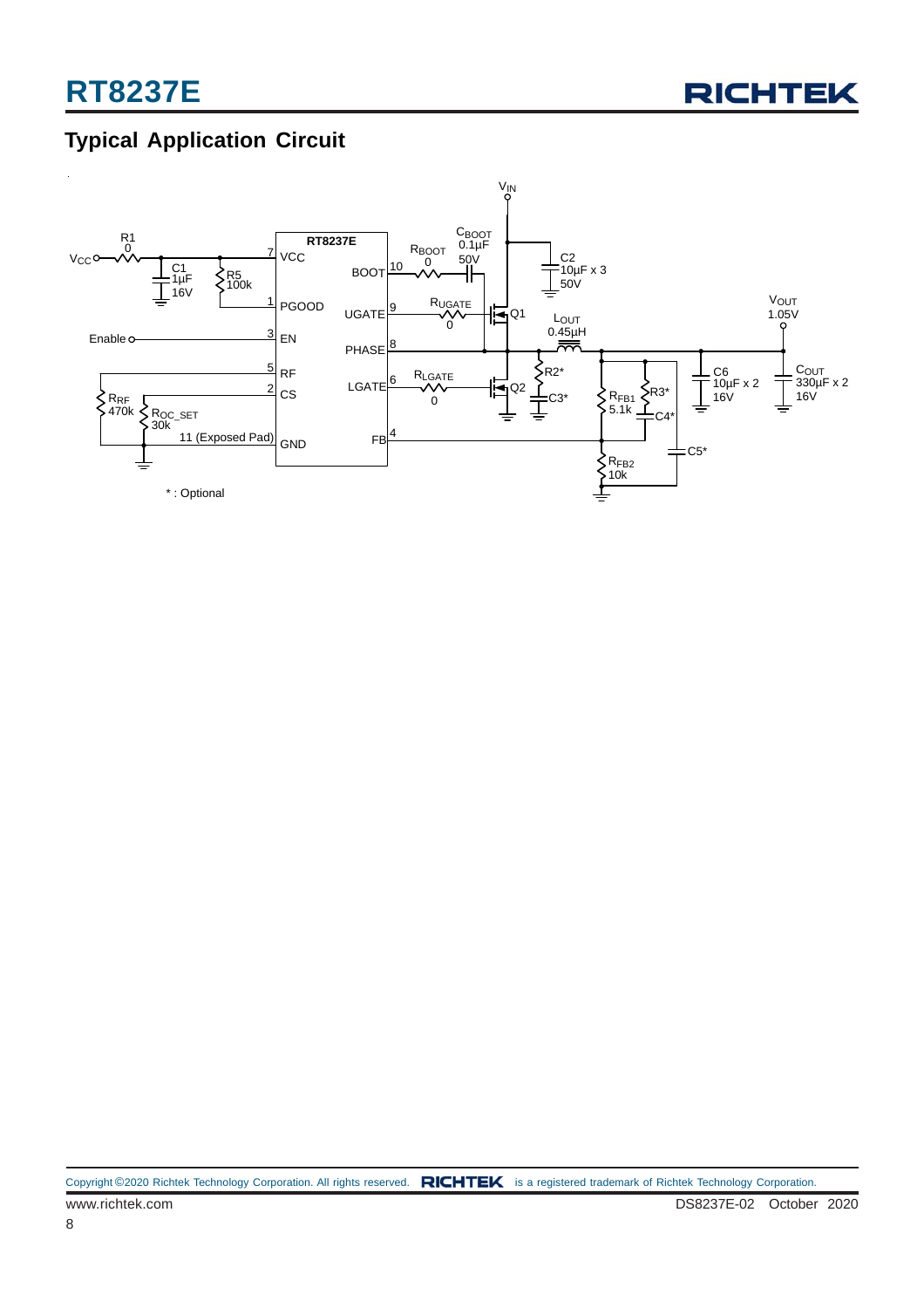

## **Typical Application Circuit**

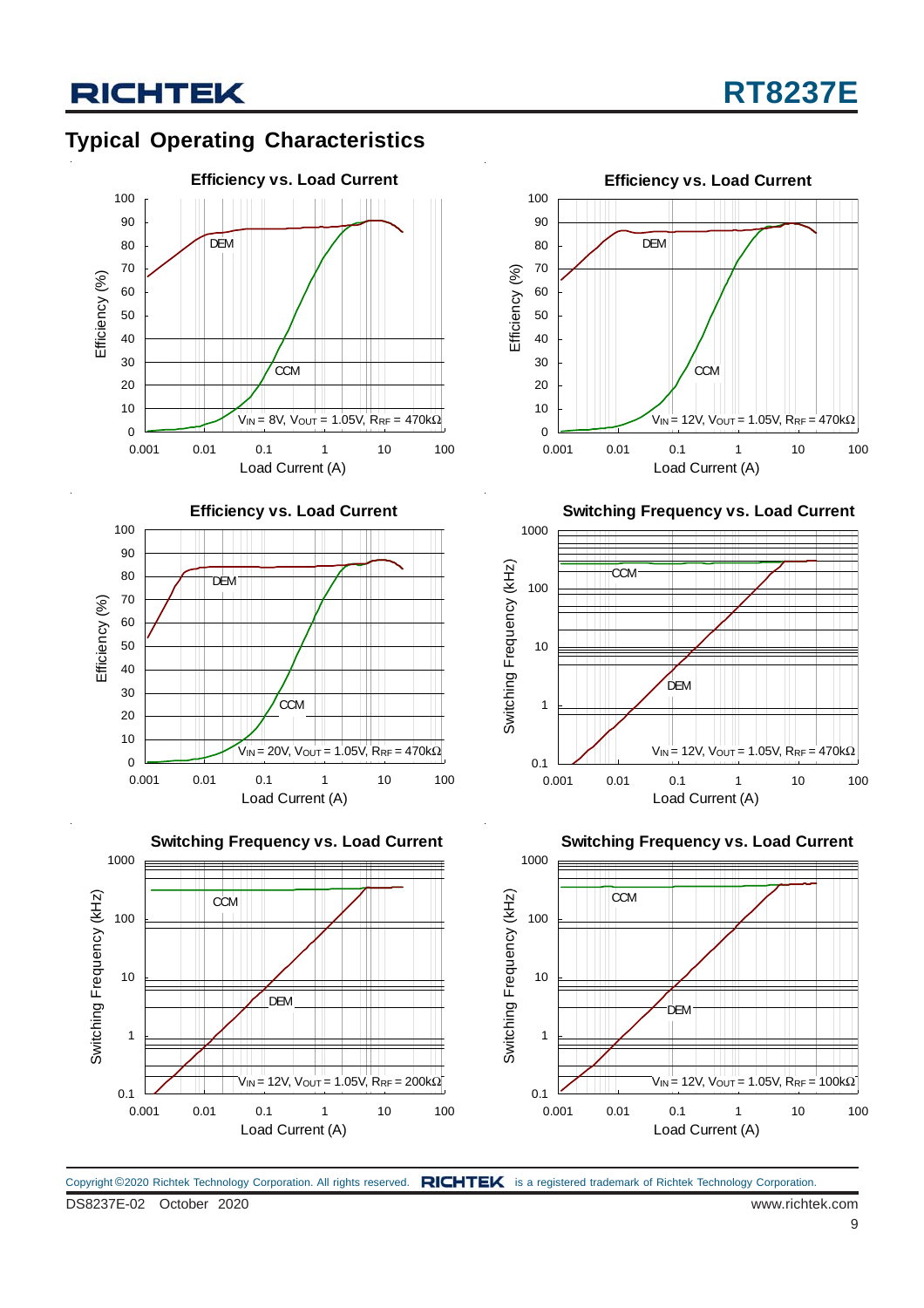### **Typical Operating Characteristics**







Load Current (A)



**Switching Frequency vs. Load Current**



**Switching Frequency vs. Load Current**



DS8237E-02 October 2020 www.richtek.com Copyright ©2020 Richtek Technology Corporation. All rights reserved. RICHTEK is a registered trademark of Richtek Technology Corporation.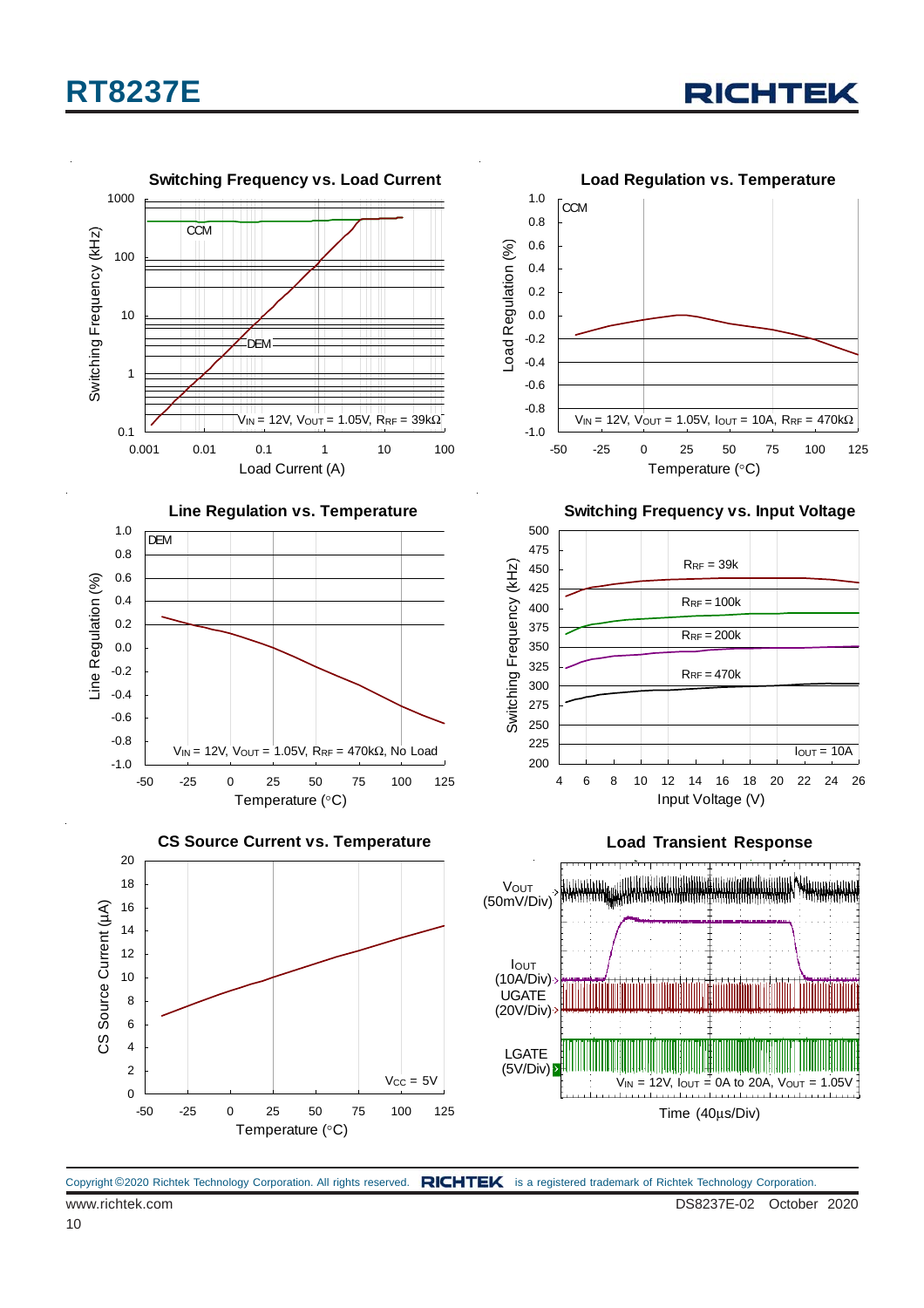





Copyright ©2020 Richtek Technology Corporation. All rights reserved. RICHTEK is a registered trademark of Richtek Technology Corporation.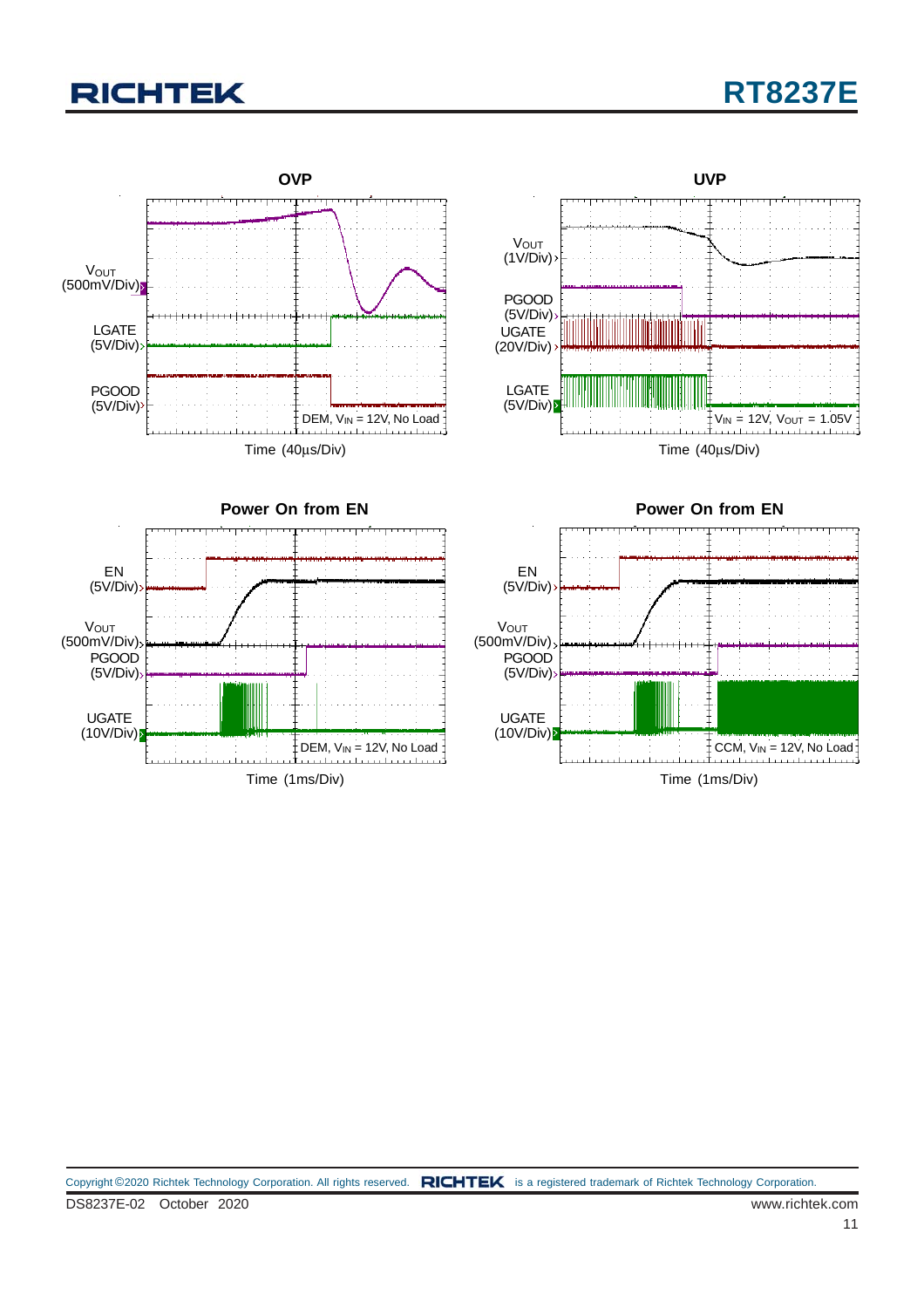## **RT8237E**

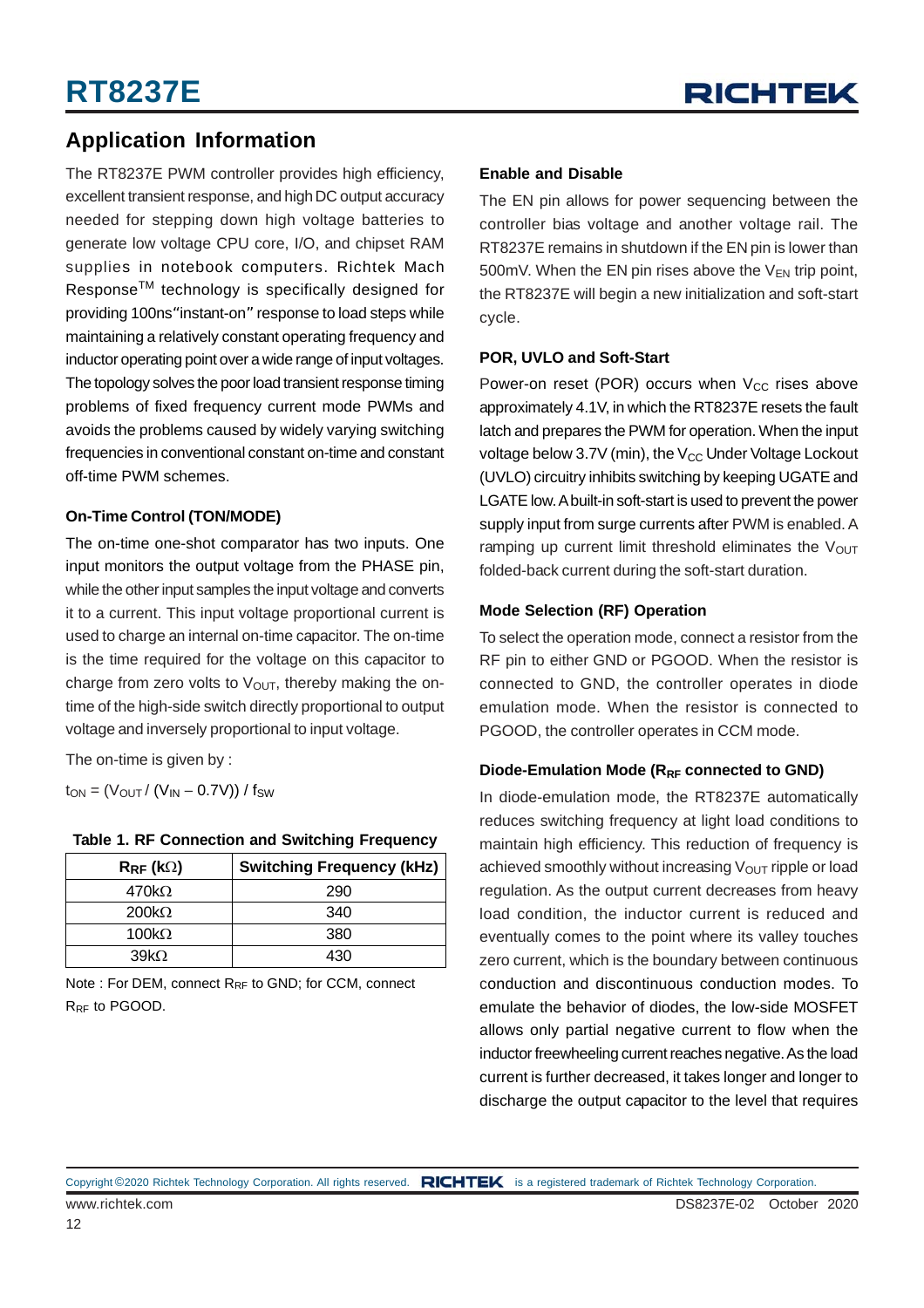### **Application Information**

The RT8237E PWM controller provides high efficiency, excellent transient response, and high DC output accuracy needed for stepping down high voltage batteries to generate low voltage CPU core, I/O, and chipset RAM supplies in notebook computers. Richtek Mach ResponseTM technology is specifically designed for providing 100ns"instant-on" response to load steps while maintaining a relatively constant operating frequency and inductor operating point over a wide range of input voltages. The topology solves the poor load transient response timing problems of fixed frequency current mode PWMs and avoids the problems caused by widely varying switching frequencies in conventional constant on-time and constant off-time PWM schemes.

#### **On-Time Control (TON/MODE)**

The on-time one-shot comparator has two inputs. One input monitors the output voltage from the PHASE pin, while the other input samples the input voltage and converts it to a current. This input voltage proportional current is used to charge an internal on-time capacitor. The on-time is the time required for the voltage on this capacitor to charge from zero volts to  $V<sub>OUT</sub>$ , thereby making the ontime of the high-side switch directly proportional to output voltage and inversely proportional to input voltage.

The on-time is given by :

 $t_{ON} = (V_{OUT} / (V_{IN} - 0.7V)) / f_{SW}$ 

| <b>Table 1. RF Connection and Switching Frequency</b> |  |
|-------------------------------------------------------|--|
|-------------------------------------------------------|--|

| $\mathsf{R}_{\mathsf{RF}}$ (k $\Omega$ ) | <b>Switching Frequency (kHz)</b> |
|------------------------------------------|----------------------------------|
| 470k $\Omega$                            | 290                              |
| $200k\Omega$                             | 340                              |
| 100 $k\Omega$                            | 380                              |
| 39kQ                                     | ⊿ว∩                              |

Note : For DEM, connect R<sub>RF</sub> to GND; for CCM, connect R<sub>RF</sub> to PGOOD.

#### **Enable and Disable**

The EN pin allows for power sequencing between the controller bias voltage and another voltage rail. The RT8237E remains in shutdown if the EN pin is lower than 500mV. When the EN pin rises above the  $V_{FN}$  trip point, the RT8237E will begin a new initialization and soft-start cycle.

#### **POR, UVLO and Soft-Start**

Power-on reset (POR) occurs when  $V_{CC}$  rises above approximately 4.1V, in which the RT8237E resets the fault latch and prepares the PWM for operation. When the input voltage below 3.7V (min), the  $V_{CC}$  Under Voltage Lockout (UVLO) circuitry inhibits switching by keeping UGATE and LGATE low. A built-in soft-start is used to prevent the power supply input from surge currents after PWM is enabled. A ramping up current limit threshold eliminates the  $V_{\text{OUT}}$ folded-back current during the soft-start duration.

#### **Mode Selection (RF) Operation**

To select the operation mode, connect a resistor from the RF pin to either GND or PGOOD. When the resistor is connected to GND, the controller operates in diode emulation mode. When the resistor is connected to PGOOD, the controller operates in CCM mode.

#### Diode-Emulation Mode (R<sub>RF</sub> connected to GND)

In diode-emulation mode, the RT8237E automatically reduces switching frequency at light load conditions to maintain high efficiency. This reduction of frequency is achieved smoothly without increasing  $V_{\text{OUT}}$  ripple or load regulation. As the output current decreases from heavy load condition, the inductor current is reduced and eventually comes to the point where its valley touches zero current, which is the boundary between continuous conduction and discontinuous conduction modes. To emulate the behavior of diodes, the low-side MOSFET allows only partial negative current to flow when the inductor freewheeling current reaches negative. As the load current is further decreased, it takes longer and longer to discharge the output capacitor to the level that requires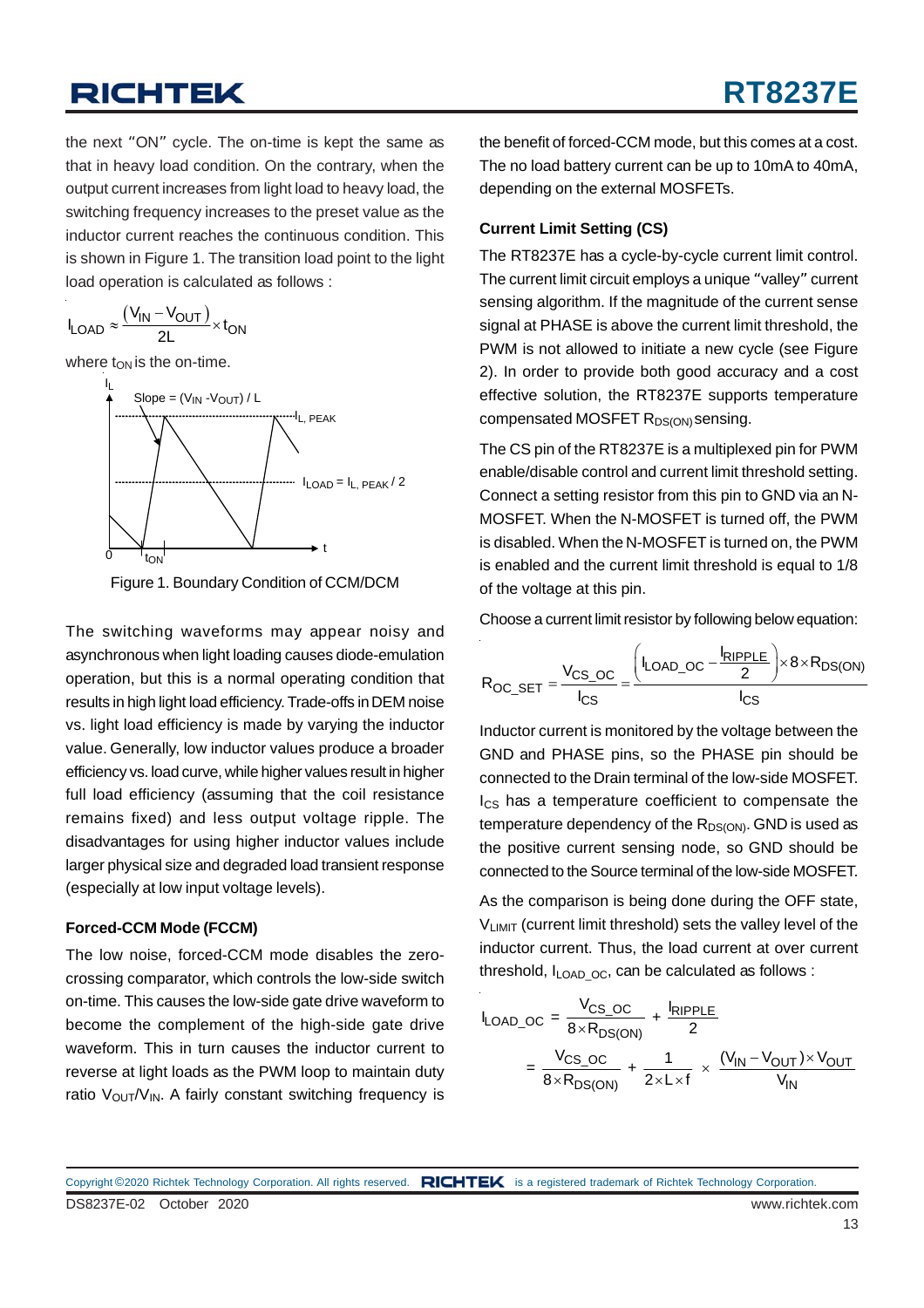the next "ON" cycle. The on-time is kept the same as that in heavy load condition. On the contrary, when the output current increases from light load to heavy load, the switching frequency increases to the preset value as the inductor current reaches the continuous condition. This is shown in Figure 1. The transition load point to the light load operation is calculated as follows :

$$
I_{LOAD} \approx \frac{(V_{IN} - V_{OUT})}{2L} \times t_{ON}
$$

where  $t_{ON}$  is the on-time.





The switching waveforms may appear noisy and asynchronous when light loading causes diode-emulation operation, but this is a normal operating condition that results in high light load efficiency. Trade-offs in DEM noise vs. light load efficiency is made by varying the inductor value. Generally, low inductor values produce a broader efficiency vs. load curve, while higher values result in higher full load efficiency (assuming that the coil resistance remains fixed) and less output voltage ripple. The disadvantages for using higher inductor values include larger physical size and degraded load transient response (especially at low input voltage levels).

#### **Forced-CCM Mode (FCCM)**

The low noise, forced-CCM mode disables the zerocrossing comparator, which controls the low-side switch on-time. This causes the low-side gate drive waveform to become the complement of the high-side gate drive waveform. This in turn causes the inductor current to reverse at light loads as the PWM loop to maintain duty ratio  $V_{\text{OUT}}/V_{\text{IN}}$ . A fairly constant switching frequency is

the benefit of forced-CCM mode, but this comes at a cost. The no load battery current can be up to 10mA to 40mA, depending on the external MOSFETs.

#### **Current Limit Setting (CS)**

The RT8237E has a cycle-by-cycle current limit control. The current limit circuit employs a unique "valley" current sensing algorithm. If the magnitude of the current sense signal at PHASE is above the current limit threshold, the PWM is not allowed to initiate a new cycle (see Figure 2). In order to provide both good accuracy and a cost effective solution, the RT8237E supports temperature compensated MOSFET R<sub>DS(ON)</sub> sensing.

The CS pin of the RT8237E is a multiplexed pin for PWM enable/disable control and current limit threshold setting. Connect a setting resistor from this pin to GND via an N-MOSFET. When the N-MOSFET is turned off, the PWM is disabled. When the N-MOSFET is turned on, the PWM is enabled and the current limit threshold is equal to 1/8 of the voltage at this pin.

Choose a current limit resistor by following below equation:

$$
R_{OC\_SET} = \frac{V_{CS\_OC}}{I_{CS}} = \frac{\left(I_{LOAD\_OC} - \frac{I_{RIPPLE}}{2}\right) \times 8 \times R_{DS(ON)}}{I_{CS}}
$$

Inductor current is monitored by the voltage between the GND and PHASE pins, so the PHASE pin should be connected to the Drain terminal of the low-side MOSFET. Ics has a temperature coefficient to compensate the temperature dependency of the  $R_{DS(ON)}$ . GND is used as the positive current sensing node, so GND should be connected to the Source terminal of the low-side MOSFET.

As the comparison is being done during the OFF state, VLIMIT (current limit threshold) sets the valley level of the inductor current. Thus, the load current at over current threshold,  $I_{LOADOC}$ , can be calculated as follows :

$$
I_{\text{LOAD\_OC}} = \frac{V_{\text{CS\_OC}}}{8 \times R_{\text{DS(ON)}}} + \frac{I_{\text{RIPPLE}}}{2}
$$

$$
= \frac{V_{\text{CS\_OC}}}{8 \times R_{\text{DS(ON)}}} + \frac{1}{2 \times L \times f} \times \frac{(V_{\text{IN}} - V_{\text{OUT}}) \times V_{\text{OUT}}}{V_{\text{IN}}}
$$

DS8237E-02 October 2020 www.richtek.com Copyright ©2020 Richtek Technology Corporation. All rights reserved. RICHTEK is a registered trademark of Richtek Technology Corporation.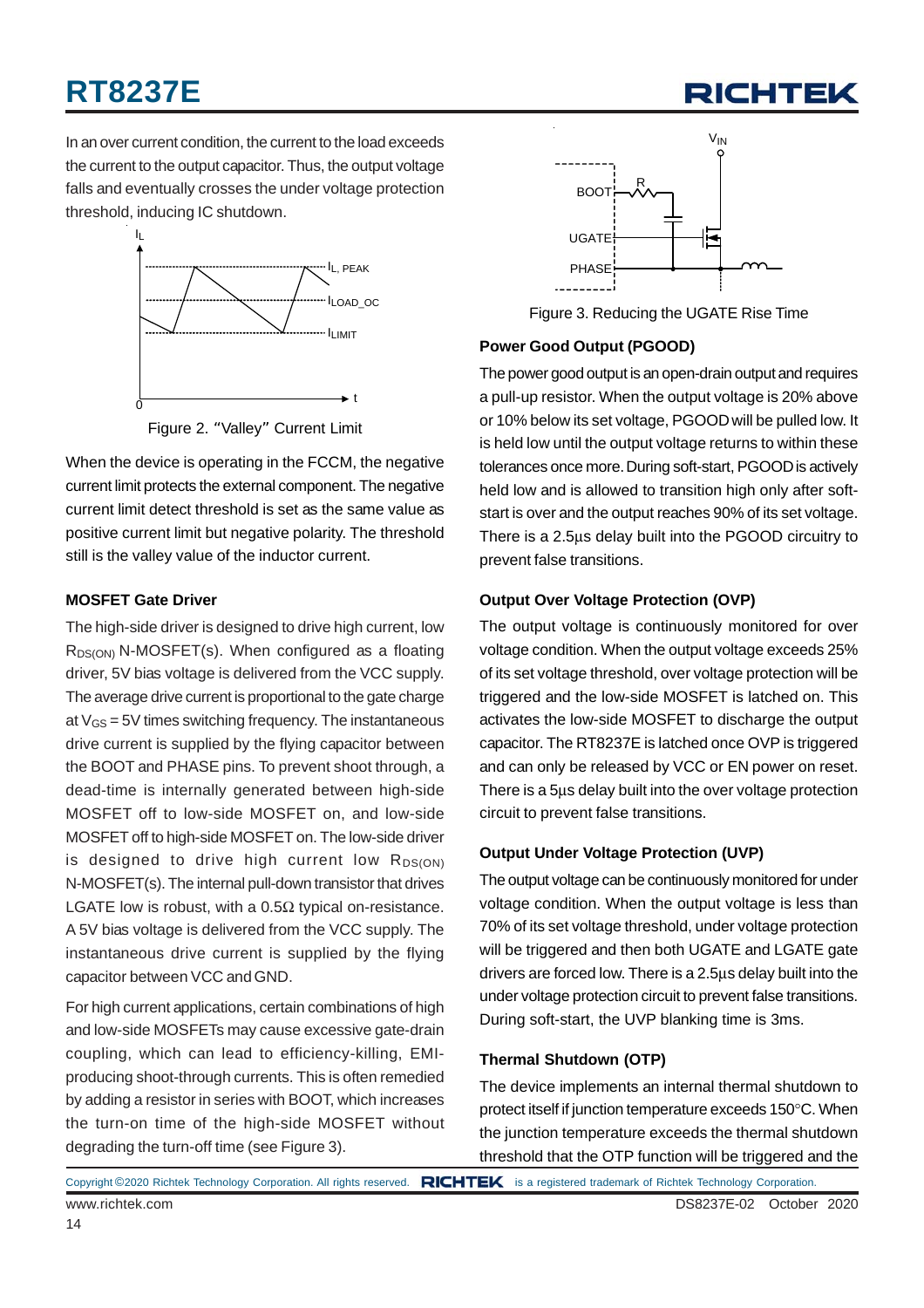## **RT8237E**



In an over current condition, the current to the load exceeds the current to the output capacitor. Thus, the output voltage falls and eventually crosses the under voltage protection threshold, inducing IC shutdown.



Figure 2. "Valley" Current Limit

When the device is operating in the FCCM, the negative current limit protects the external component. The negative current limit detect threshold is set as the same value as positive current limit but negative polarity. The threshold still is the valley value of the inductor current.

#### **MOSFET Gate Driver**

The high-side driver is designed to drive high current, low  $R_{DS(ON)}$  N-MOSFET(s). When configured as a floating driver, 5V bias voltage is delivered from the VCC supply. The average drive current is proportional to the gate charge at  $V_{GS}$  = 5V times switching frequency. The instantaneous drive current is supplied by the flying capacitor between the BOOT and PHASE pins. To prevent shoot through, a dead-time is internally generated between high-side MOSFET off to low-side MOSFET on, and low-side MOSFET off to high-side MOSFET on. The low-side driver is designed to drive high current low  $R_{DS(ON)}$ N-MOSFET(s). The internal pull-down transistor that drives LGATE low is robust, with a  $0.5\Omega$  typical on-resistance. A 5V bias voltage is delivered from the VCC supply. The instantaneous drive current is supplied by the flying capacitor between VCC and GND.

For high current applications, certain combinations of high and low-side MOSFETs may cause excessive gate-drain coupling, which can lead to efficiency-killing, EMIproducing shoot-through currents. This is often remedied by adding a resistor in series with BOOT, which increases the turn-on time of the high-side MOSFET without degrading the turn-off time (see Figure 3).



Figure 3. Reducing the UGATE Rise Time

#### **Power Good Output (PGOOD)**

The power good output is an open-drain output and requires a pull-up resistor. When the output voltage is 20% above or 10% below its set voltage, PGOOD will be pulled low. It is held low until the output voltage returns to within these tolerances once more. During soft-start, PGOOD is actively held low and is allowed to transition high only after softstart is over and the output reaches 90% of its set voltage. There is a 2.5μs delay built into the PGOOD circuitry to prevent false transitions.

#### **Output Over Voltage Protection (OVP)**

The output voltage is continuously monitored for over voltage condition. When the output voltage exceeds 25% of its set voltage threshold, over voltage protection will be triggered and the low-side MOSFET is latched on. This activates the low-side MOSFET to discharge the output capacitor. The RT8237E is latched once OVP is triggered and can only be released by VCC or EN power on reset. There is a 5μs delay built into the over voltage protection circuit to prevent false transitions.

#### **Output Under Voltage Protection (UVP)**

The output voltage can be continuously monitored for under voltage condition. When the output voltage is less than 70% of its set voltage threshold, under voltage protection will be triggered and then both UGATE and LGATE gate drivers are forced low. There is a 2.5μs delay built into the under voltage protection circuit to prevent false transitions. During soft-start, the UVP blanking time is 3ms.

#### **Thermal Shutdown (OTP)**

The device implements an internal thermal shutdown to protect itself if junction temperature exceeds 150°C. When the junction temperature exceeds the thermal shutdown threshold that the OTP function will be triggered and the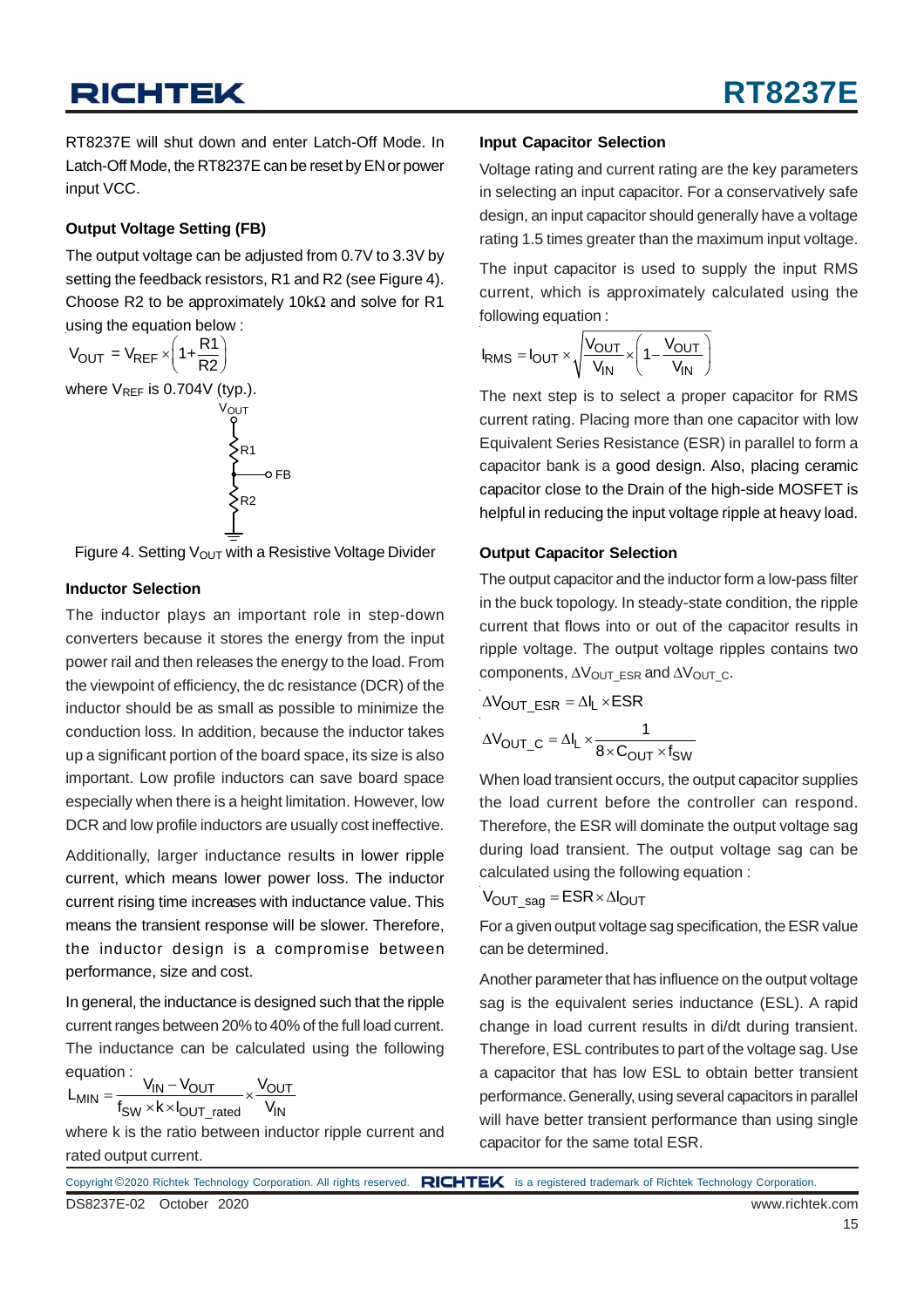RT8237E will shut down and enter Latch-Off Mode. In Latch-Off Mode, the RT8237E can be reset by EN or power input VCC.

#### **Output Voltage Setting (FB)**

The output voltage can be adjusted from 0.7V to 3.3V by setting the feedback resistors, R1 and R2 (see Figure 4). Choose R2 to be approximately 10k $\Omega$  and solve for R1 using the equation below :

$$
V_{OUT} = V_{REF} \times \left(1 + \frac{R1}{R2}\right)
$$
  
where  $V_{REF}$  is 0.704V (typ.).  

$$
V_{OUT}
$$
  

$$
\leftarrow
$$
  

$$
\leftarrow
$$
  

$$
\leftarrow
$$
  

$$
\leftarrow
$$
  

$$
\leftarrow
$$
  

$$
\leftarrow
$$
  

$$
\leftarrow
$$
  

$$
\leftarrow
$$
  

$$
\leftarrow
$$
  

$$
\leftarrow
$$
  

$$
\leftarrow
$$
  

$$
\leftarrow
$$
  

$$
\leftarrow
$$
  

$$
\leftarrow
$$
  

$$
\leftarrow
$$
  

$$
\leftarrow
$$
  

$$
\leftarrow
$$
  

$$
\leftarrow
$$
  

$$
\leftarrow
$$
  

$$
\leftarrow
$$
  

$$
\leftarrow
$$
  

$$
\leftarrow
$$
  

$$
\leftarrow
$$
  

$$
\leftarrow
$$
  

$$
\leftarrow
$$
  

$$
\leftarrow
$$
  

$$
\leftarrow
$$
  

$$
\leftarrow
$$
  

$$
\leftarrow
$$
  

$$
\leftarrow
$$
  

$$
\leftarrow
$$
  

$$
\leftarrow
$$
  

$$
\leftarrow
$$
  

$$
\leftarrow
$$
  

$$
\leftarrow
$$
  

$$
\leftarrow
$$
  

$$
\leftarrow
$$
  

$$
\leftarrow
$$
  

$$
\leftarrow
$$
  

$$
\leftarrow
$$
  

$$
\leftarrow
$$
  

$$
\leftarrow
$$
  

$$
\leftarrow
$$
  

$$
\leftarrow
$$
  

$$
\leftarrow
$$
  

$$
\leftarrow
$$
  

$$
\leftarrow
$$
  

$$
\leftarrow
$$
  

$$
\leftarrow
$$

Figure 4. Setting  $V_{\text{OUT}}$  with a Resistive Voltage Divider

#### **Inductor Selection**

The inductor plays an important role in step-down converters because it stores the energy from the input power rail and then releases the energy to the load. From the viewpoint of efficiency, the dc resistance (DCR) of the inductor should be as small as possible to minimize the conduction loss. In addition, because the inductor takes up a significant portion of the board space, its size is also important. Low profile inductors can save board space especially when there is a height limitation. However, low DCR and low profile inductors are usually cost ineffective.

Additionally, larger inductance results in lower ripple current, which means lower power loss. The inductor current rising time increases with inductance value. This means the transient response will be slower. Therefore, the inductor design is a compromise between performance, size and cost.

In general, the inductance is designed such that the ripple current ranges between 20% to 40% of the full load current. The inductance can be calculated using the following equation :

$$
L_{MIN} = \frac{V_{IN} - V_{OUT}}{f_{SW} \times k \times I_{OUT\_rated}} \times \frac{V_{OUT}}{V_{IN}}
$$

where k is the ratio between inductor ripple current and rated output current.

#### **Input Capacitor Selection**

Voltage rating and current rating are the key parameters in selecting an input capacitor. For a conservatively safe design, an input capacitor should generally have a voltage rating 1.5 times greater than the maximum input voltage.

The input capacitor is used to supply the input RMS current, which is approximately calculated using the following equation :

$$
I_{RMS} = I_{OUT} \times \sqrt{\frac{V_{OUT}}{V_{IN}}} \times \left(1 - \frac{V_{OUT}}{V_{IN}}\right)
$$

The next step is to select a proper capacitor for RMS current rating. Placing more than one capacitor with low Equivalent Series Resistance (ESR) in parallel to form a capacitor bank is a good design. Also, placing ceramic capacitor close to the Drain of the high-side MOSFET is helpful in reducing the input voltage ripple at heavy load.

#### **Output Capacitor Selection**

The output capacitor and the inductor form a low-pass filter in the buck topology. In steady-state condition, the ripple current that flows into or out of the capacitor results in ripple voltage. The output voltage ripples contains two components,  $\Delta V_{\text{OUT}}$  ESR and  $\Delta V_{\text{OUT}}$  c.

$$
\Delta V_{OUT\_ESR} = \Delta I_L \times ESR
$$

$$
\Delta V_{OUT\_C} = \Delta I_L \times \frac{1}{8 \times C_{OUT} \times f_{SW}}
$$

When load transient occurs, the output capacitor supplies the load current before the controller can respond. Therefore, the ESR will dominate the output voltage sag during load transient. The output voltage sag can be calculated using the following equation :

$$
V_{OUT\_sag} = ESR \times \Delta I_{OUT}
$$

For a given output voltage sag specification, the ESR value can be determined.

Another parameter that has influence on the output voltage sag is the equivalent series inductance (ESL). A rapid change in load current results in di/dt during transient. Therefore, ESL contributes to part of the voltage sag. Use a capacitor that has low ESL to obtain better transient performance. Generally, using several capacitors in parallel will have better transient performance than using single capacitor for the same total ESR.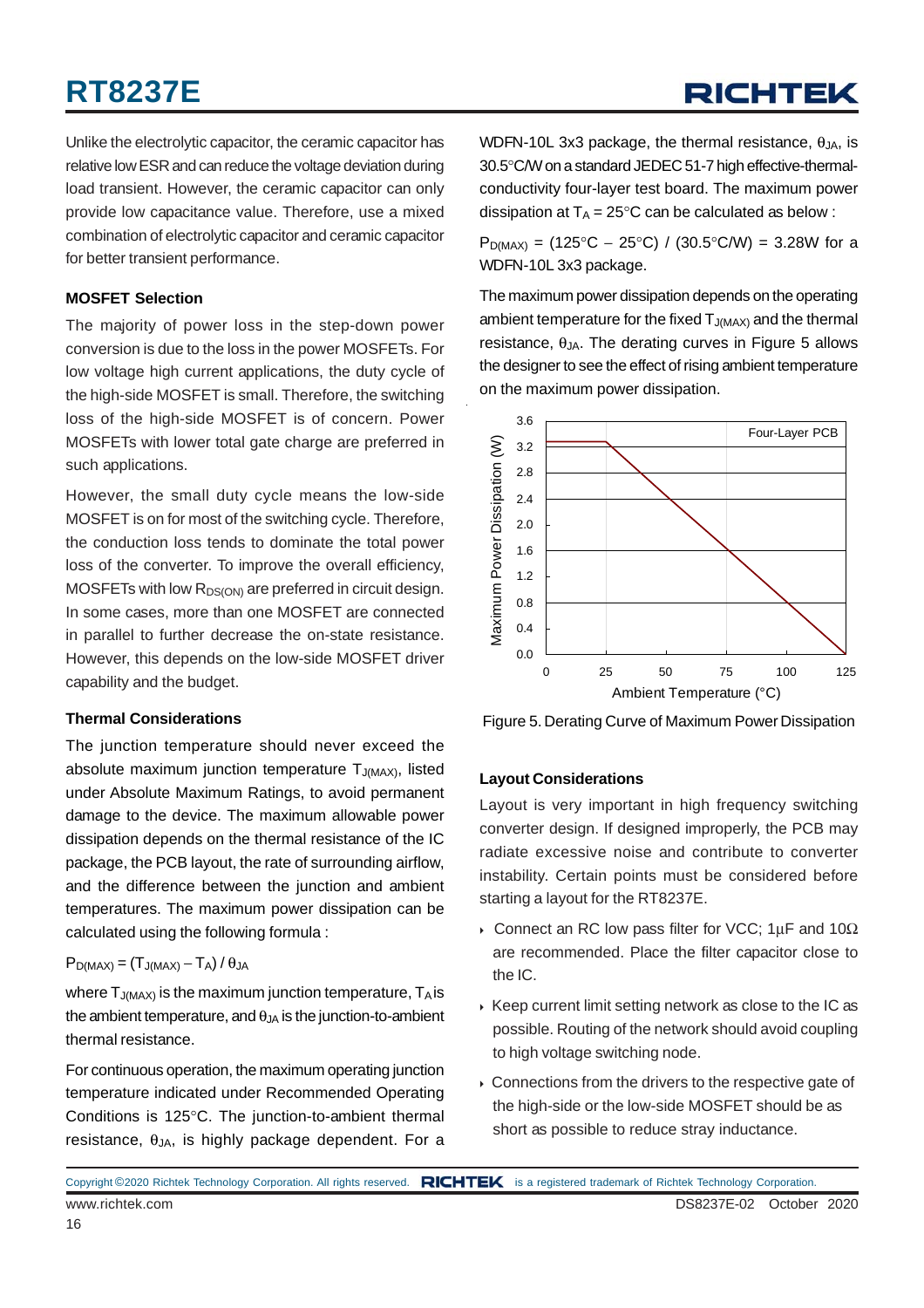## **RT8237E**

Unlike the electrolytic capacitor, the ceramic capacitor has relative low ESR and can reduce the voltage deviation during load transient. However, the ceramic capacitor can only provide low capacitance value. Therefore, use a mixed combination of electrolytic capacitor and ceramic capacitor for better transient performance.

#### **MOSFET Selection**

The majority of power loss in the step-down power conversion is due to the loss in the power MOSFETs. For low voltage high current applications, the duty cycle of the high-side MOSFET is small. Therefore, the switching loss of the high-side MOSFET is of concern. Power MOSFETs with lower total gate charge are preferred in such applications.

However, the small duty cycle means the low-side MOSFET is on for most of the switching cycle. Therefore, the conduction loss tends to dominate the total power loss of the converter. To improve the overall efficiency, MOSFETs with low  $R_{DS(ON)}$  are preferred in circuit design. In some cases, more than one MOSFET are connected in parallel to further decrease the on-state resistance. However, this depends on the low-side MOSFET driver capability and the budget.

#### **Thermal Considerations**

The junction temperature should never exceed the absolute maximum junction temperature  $T_{J(MAX)}$ , listed under Absolute Maximum Ratings, to avoid permanent damage to the device. The maximum allowable power dissipation depends on the thermal resistance of the IC package, the PCB layout, the rate of surrounding airflow, and the difference between the junction and ambient temperatures. The maximum power dissipation can be calculated using the following formula :

#### $P_{D(MAX)} = (T_{J(MAX)} - T_A) / \theta_{JA}$

where  $T_{J(MAX)}$  is the maximum junction temperature,  $T_A$  is the ambient temperature, and  $\theta_{JA}$  is the junction-to-ambient thermal resistance.

For continuous operation, the maximum operating junction temperature indicated under Recommended Operating Conditions is 125°C. The junction-to-ambient thermal resistance,  $\theta_{JA}$ , is highly package dependent. For a

WDFN-10L 3x3 package, the thermal resistance,  $\theta_{JA}$ , is 30.5°C/W on a standard JEDEC 51-7 high effective-thermalconductivity four-layer test board. The maximum power dissipation at  $T_A = 25^{\circ}C$  can be calculated as below :

 $P_{D(MAX)} = (125^{\circ}C - 25^{\circ}C) / (30.5^{\circ}C/W) = 3.28W$  for a WDFN-10L 3x3 package.

The maximum power dissipation depends on the operating ambient temperature for the fixed  $T_{J(MAX)}$  and the thermal resistance,  $\theta_{JA}$ . The derating curves in Figure 5 allows the designer to see the effect of rising ambient temperature on the maximum power dissipation.



Figure 5. Derating Curve of Maximum Power Dissipation

#### **Layout Considerations**

Layout is very important in high frequency switching converter design. If designed improperly, the PCB may radiate excessive noise and contribute to converter instability. Certain points must be considered before starting a layout for the RT8237E.

- Connect an RC low pass filter for VCC; 1  $\mu$ F and 10 $\Omega$ are recommended. Place the filter capacitor close to the IC.
- $\triangleright$  Keep current limit setting network as close to the IC as possible. Routing of the network should avoid coupling to high voltage switching node.
- Connections from the drivers to the respective gate of the high-side or the low-side MOSFET should be as short as possible to reduce stray inductance.

www.richtek.com DS8237E-02 October 2020 Copyright ©2020 Richtek Technology Corporation. All rights reserved. RICHTEK is a registered trademark of Richtek Technology Corporation.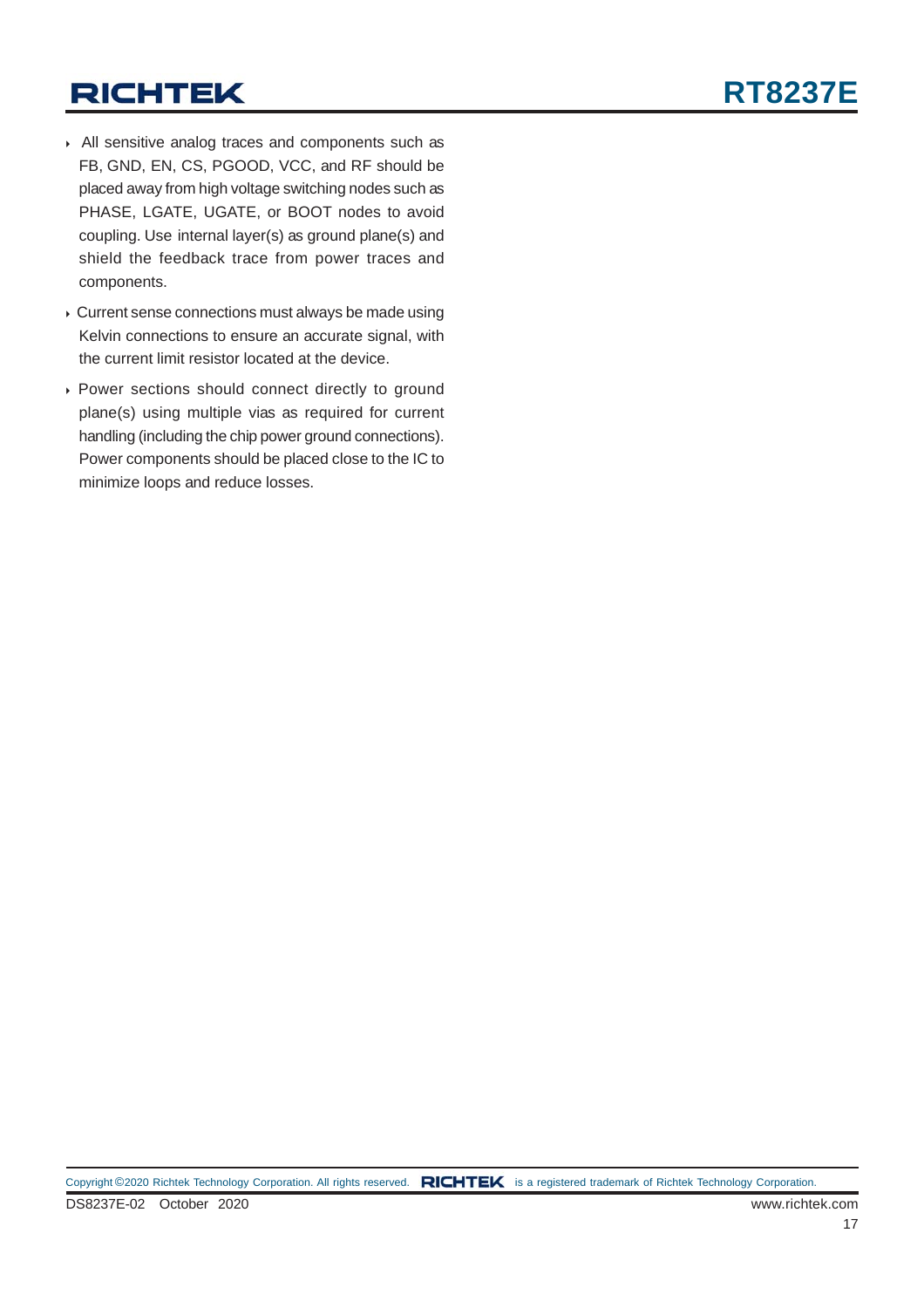- All sensitive analog traces and components such as FB, GND, EN, CS, PGOOD, VCC, and RF should be placed away from high voltage switching nodes such as PHASE, LGATE, UGATE, or BOOT nodes to avoid coupling. Use internal layer(s) as ground plane(s) and shield the feedback trace from power traces and components.
- Current sense connections must always be made using Kelvin connections to ensure an accurate signal, with the current limit resistor located at the device.
- Power sections should connect directly to ground plane(s) using multiple vias as required for current handling (including the chip power ground connections). Power components should be placed close to the IC to minimize loops and reduce losses.